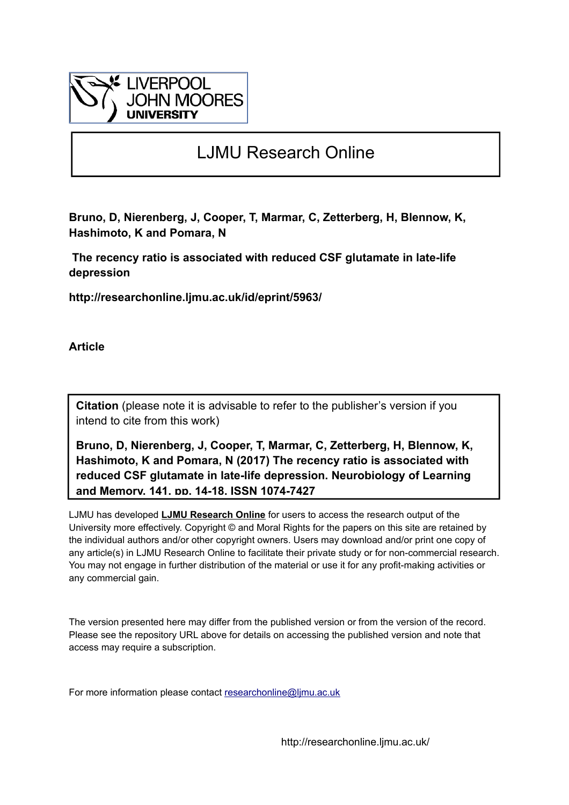

# LJMU Research Online

**Bruno, D, Nierenberg, J, Cooper, T, Marmar, C, Zetterberg, H, Blennow, K, Hashimoto, K and Pomara, N**

 **The recency ratio is associated with reduced CSF glutamate in late-life depression**

**http://researchonline.ljmu.ac.uk/id/eprint/5963/**

**Article**

**Citation** (please note it is advisable to refer to the publisher's version if you intend to cite from this work)

**Bruno, D, Nierenberg, J, Cooper, T, Marmar, C, Zetterberg, H, Blennow, K, Hashimoto, K and Pomara, N (2017) The recency ratio is associated with reduced CSF glutamate in late-life depression. Neurobiology of Learning and Memory, 141. pp. 14-18. ISSN 1074-7427** 

LJMU has developed **[LJMU Research Online](http://researchonline.ljmu.ac.uk/)** for users to access the research output of the University more effectively. Copyright © and Moral Rights for the papers on this site are retained by the individual authors and/or other copyright owners. Users may download and/or print one copy of any article(s) in LJMU Research Online to facilitate their private study or for non-commercial research. You may not engage in further distribution of the material or use it for any profit-making activities or any commercial gain.

The version presented here may differ from the published version or from the version of the record. Please see the repository URL above for details on accessing the published version and note that access may require a subscription.

For more information please contact researchonline@limu.ac.uk

http://researchonline.ljmu.ac.uk/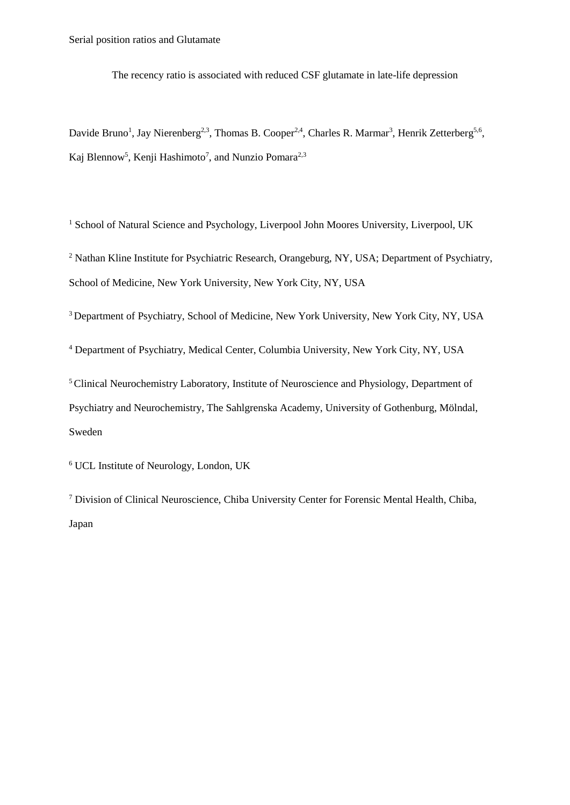The recency ratio is associated with reduced CSF glutamate in late-life depression

Davide Bruno<sup>1</sup>, Jay Nierenberg<sup>2,3</sup>, Thomas B. Cooper<sup>2,4</sup>, Charles R. Marmar<sup>3</sup>, Henrik Zetterberg<sup>5,6</sup>, Kaj Blennow<sup>5</sup>, Kenji Hashimoto<sup>7</sup>, and Nunzio Pomara<sup>2,3</sup>

<sup>1</sup> School of Natural Science and Psychology, Liverpool John Moores University, Liverpool, UK

<sup>2</sup> Nathan Kline Institute for Psychiatric Research, Orangeburg, NY, USA; Department of Psychiatry, School of Medicine, New York University, New York City, NY, USA

<sup>3</sup> Department of Psychiatry, School of Medicine, New York University, New York City, NY, USA

<sup>4</sup> Department of Psychiatry, Medical Center, Columbia University, New York City, NY, USA

<sup>5</sup>Clinical Neurochemistry Laboratory, Institute of Neuroscience and Physiology, Department of Psychiatry and Neurochemistry, The Sahlgrenska Academy, University of Gothenburg, Mölndal, Sweden

<sup>6</sup> UCL Institute of Neurology, London, UK

<sup>7</sup> Division of Clinical Neuroscience, Chiba University Center for Forensic Mental Health, Chiba, Japan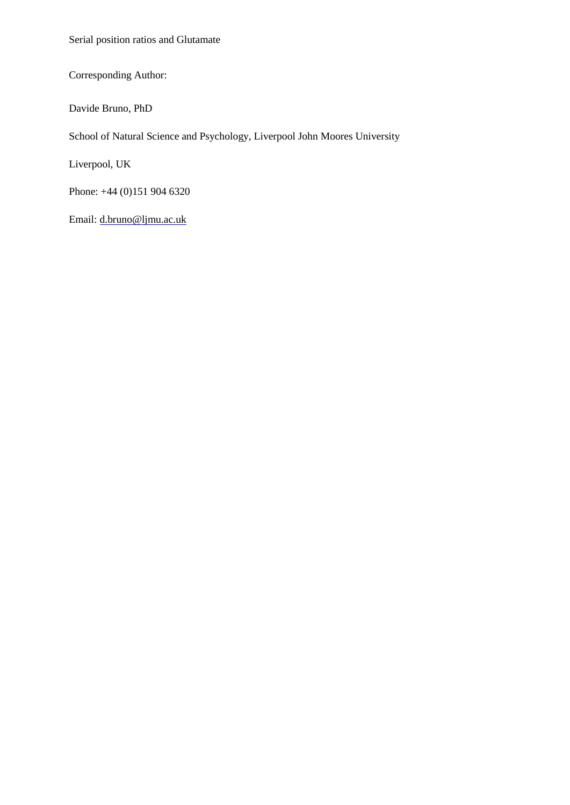Serial position ratios and Glutamate

Corresponding Author:

Davide Bruno, PhD

School of Natural Science and Psychology, Liverpool John Moores University

Liverpool, UK

Phone: +44 (0)151 904 6320

Email: d.bruno@ljmu.ac.uk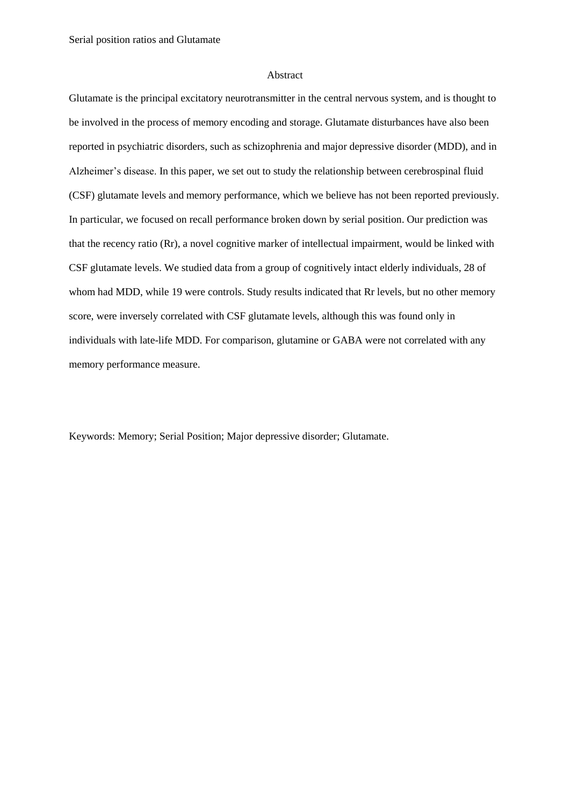## Abstract

Glutamate is the principal excitatory neurotransmitter in the central nervous system, and is thought to be involved in the process of memory encoding and storage. Glutamate disturbances have also been reported in psychiatric disorders, such as schizophrenia and major depressive disorder (MDD), and in Alzheimer's disease. In this paper, we set out to study the relationship between cerebrospinal fluid (CSF) glutamate levels and memory performance, which we believe has not been reported previously. In particular, we focused on recall performance broken down by serial position. Our prediction was that the recency ratio (Rr), a novel cognitive marker of intellectual impairment, would be linked with CSF glutamate levels. We studied data from a group of cognitively intact elderly individuals, 28 of whom had MDD, while 19 were controls. Study results indicated that Rr levels, but no other memory score, were inversely correlated with CSF glutamate levels, although this was found only in individuals with late-life MDD. For comparison, glutamine or GABA were not correlated with any memory performance measure.

Keywords: Memory; Serial Position; Major depressive disorder; Glutamate.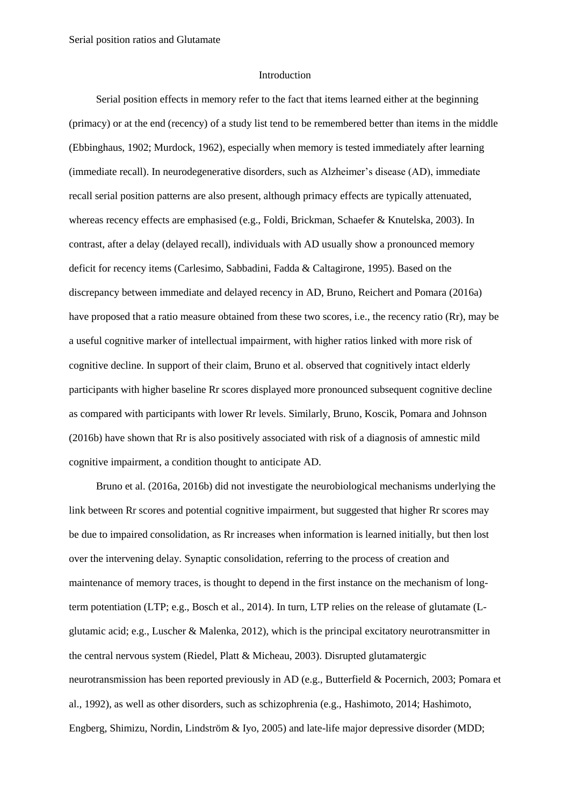### Introduction

Serial position effects in memory refer to the fact that items learned either at the beginning (primacy) or at the end (recency) of a study list tend to be remembered better than items in the middle (Ebbinghaus, 1902; Murdock, 1962), especially when memory is tested immediately after learning (immediate recall). In neurodegenerative disorders, such as Alzheimer's disease (AD), immediate recall serial position patterns are also present, although primacy effects are typically attenuated, whereas recency effects are emphasised (e.g., Foldi, Brickman, Schaefer & Knutelska, 2003). In contrast, after a delay (delayed recall), individuals with AD usually show a pronounced memory deficit for recency items (Carlesimo, Sabbadini, Fadda & Caltagirone, 1995). Based on the discrepancy between immediate and delayed recency in AD, Bruno, Reichert and Pomara (2016a) have proposed that a ratio measure obtained from these two scores, i.e., the recency ratio (Rr), may be a useful cognitive marker of intellectual impairment, with higher ratios linked with more risk of cognitive decline. In support of their claim, Bruno et al. observed that cognitively intact elderly participants with higher baseline Rr scores displayed more pronounced subsequent cognitive decline as compared with participants with lower Rr levels. Similarly, Bruno, Koscik, Pomara and Johnson (2016b) have shown that Rr is also positively associated with risk of a diagnosis of amnestic mild cognitive impairment, a condition thought to anticipate AD.

Bruno et al. (2016a, 2016b) did not investigate the neurobiological mechanisms underlying the link between Rr scores and potential cognitive impairment, but suggested that higher Rr scores may be due to impaired consolidation, as Rr increases when information is learned initially, but then lost over the intervening delay. Synaptic consolidation, referring to the process of creation and maintenance of memory traces, is thought to depend in the first instance on the mechanism of longterm potentiation (LTP; e.g., Bosch et al., 2014). In turn, LTP relies on the release of glutamate (Lglutamic acid; e.g., Luscher & Malenka, 2012), which is the principal excitatory neurotransmitter in the central nervous system (Riedel, Platt & Micheau, 2003). Disrupted glutamatergic neurotransmission has been reported previously in AD (e.g., Butterfield & Pocernich, 2003; Pomara et al., 1992), as well as other disorders, such as schizophrenia (e.g., Hashimoto, 2014; Hashimoto, Engberg, Shimizu, Nordin, Lindström & Iyo, 2005) and late-life major depressive disorder (MDD;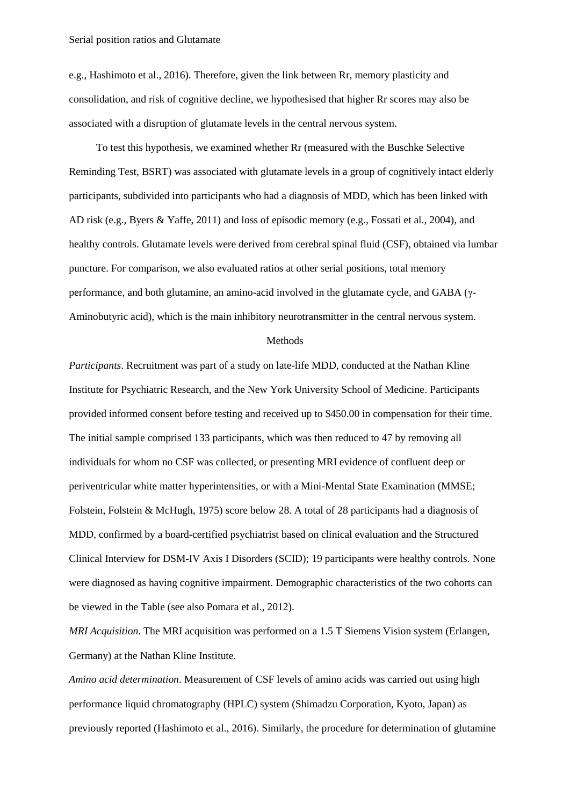e.g., Hashimoto et al., 2016). Therefore, given the link between Rr, memory plasticity and consolidation, and risk of cognitive decline, we hypothesised that higher Rr scores may also be associated with a disruption of glutamate levels in the central nervous system.

To test this hypothesis, we examined whether Rr (measured with the Buschke Selective Reminding Test, BSRT) was associated with glutamate levels in a group of cognitively intact elderly participants, subdivided into participants who had a diagnosis of MDD, which has been linked with AD risk (e.g., Byers & Yaffe, 2011) and loss of episodic memory (e.g., Fossati et al., 2004), and healthy controls. Glutamate levels were derived from cerebral spinal fluid (CSF), obtained via lumbar puncture. For comparison, we also evaluated ratios at other serial positions, total memory performance, and both glutamine, an amino-acid involved in the glutamate cycle, and GABA (γ-Aminobutyric acid), which is the main inhibitory neurotransmitter in the central nervous system.

# Methods

*Participants*. Recruitment was part of a study on late-life MDD, conducted at the Nathan Kline Institute for Psychiatric Research, and the New York University School of Medicine. Participants provided informed consent before testing and received up to \$450.00 in compensation for their time. The initial sample comprised 133 participants, which was then reduced to 47 by removing all individuals for whom no CSF was collected, or presenting MRI evidence of confluent deep or periventricular white matter hyperintensities, or with a Mini-Mental State Examination (MMSE; Folstein, Folstein & McHugh, 1975) score below 28. A total of 28 participants had a diagnosis of MDD, confirmed by a board-certified psychiatrist based on clinical evaluation and the Structured Clinical Interview for DSM-IV Axis I Disorders (SCID); 19 participants were healthy controls. None were diagnosed as having cognitive impairment. Demographic characteristics of the two cohorts can be viewed in the Table (see also Pomara et al., 2012).

*MRI Acquisition.* The MRI acquisition was performed on a 1.5 T Siemens Vision system (Erlangen, Germany) at the Nathan Kline Institute.

*Amino acid determination*. Measurement of CSF levels of amino acids was carried out using high performance liquid chromatography (HPLC) system (Shimadzu Corporation, Kyoto, Japan) as previously reported (Hashimoto et al., 2016). Similarly, the procedure for determination of glutamine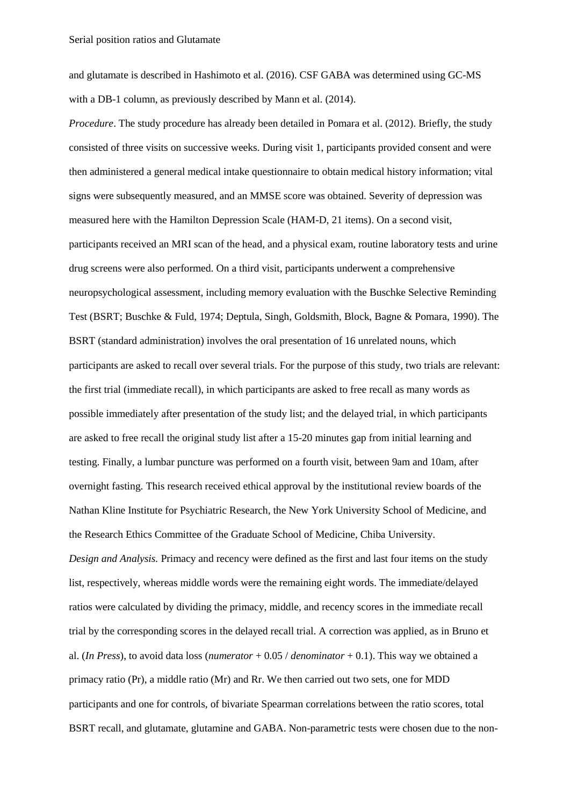and glutamate is described in Hashimoto et al. (2016). CSF GABA was determined using GC-MS with a DB-1 column, as previously described by Mann et al. (2014).

*Procedure*. The study procedure has already been detailed in Pomara et al. (2012). Briefly, the study consisted of three visits on successive weeks. During visit 1, participants provided consent and were then administered a general medical intake questionnaire to obtain medical history information; vital signs were subsequently measured, and an MMSE score was obtained. Severity of depression was measured here with the Hamilton Depression Scale (HAM-D, 21 items). On a second visit, participants received an MRI scan of the head, and a physical exam, routine laboratory tests and urine drug screens were also performed. On a third visit, participants underwent a comprehensive neuropsychological assessment, including memory evaluation with the Buschke Selective Reminding Test (BSRT; Buschke & Fuld, 1974; Deptula, Singh, Goldsmith, Block, Bagne & Pomara, 1990). The BSRT (standard administration) involves the oral presentation of 16 unrelated nouns, which participants are asked to recall over several trials. For the purpose of this study, two trials are relevant: the first trial (immediate recall), in which participants are asked to free recall as many words as possible immediately after presentation of the study list; and the delayed trial, in which participants are asked to free recall the original study list after a 15-20 minutes gap from initial learning and testing. Finally, a lumbar puncture was performed on a fourth visit, between 9am and 10am, after overnight fasting. This research received ethical approval by the institutional review boards of the Nathan Kline Institute for Psychiatric Research, the New York University School of Medicine, and the Research Ethics Committee of the Graduate School of Medicine, Chiba University. *Design and Analysis.* Primacy and recency were defined as the first and last four items on the study list, respectively, whereas middle words were the remaining eight words. The immediate/delayed ratios were calculated by dividing the primacy, middle, and recency scores in the immediate recall trial by the corresponding scores in the delayed recall trial. A correction was applied, as in Bruno et al. (*In Press*), to avoid data loss (*numerator* + 0.05 / *denominator* + 0.1). This way we obtained a primacy ratio (Pr), a middle ratio (Mr) and Rr. We then carried out two sets, one for MDD participants and one for controls, of bivariate Spearman correlations between the ratio scores, total BSRT recall, and glutamate, glutamine and GABA. Non-parametric tests were chosen due to the non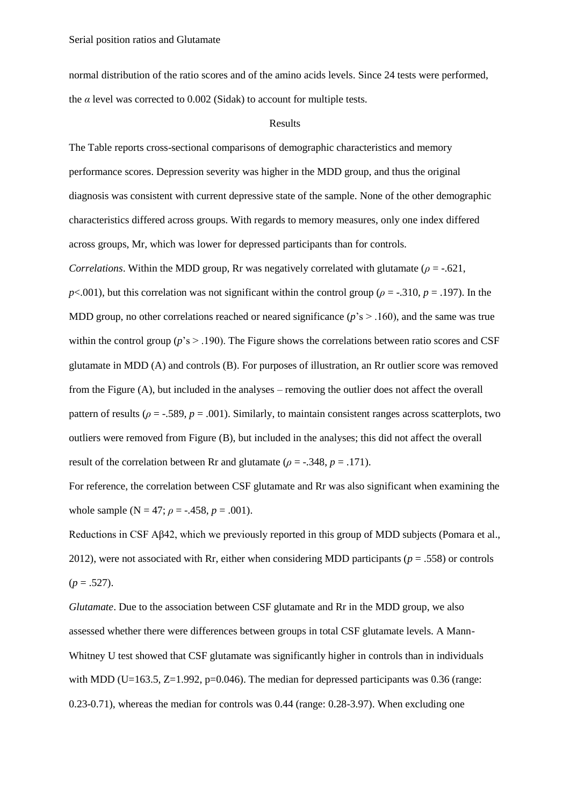normal distribution of the ratio scores and of the amino acids levels. Since 24 tests were performed, the  $\alpha$  level was corrected to 0.002 (Sidak) to account for multiple tests.

# Results

The Table reports cross-sectional comparisons of demographic characteristics and memory performance scores. Depression severity was higher in the MDD group, and thus the original diagnosis was consistent with current depressive state of the sample. None of the other demographic characteristics differed across groups. With regards to memory measures, only one index differed across groups, Mr, which was lower for depressed participants than for controls. *Correlations*. Within the MDD group, Rr was negatively correlated with glutamate ( $\rho = -0.621$ , *p*<.001), but this correlation was not significant within the control group ( $\rho = -0.310$ ,  $p = 0.197$ ). In the MDD group, no other correlations reached or neared significance  $(p's > .160)$ , and the same was true within the control group ( $p$ 's  $> 0.190$ ). The Figure shows the correlations between ratio scores and CSF glutamate in MDD (A) and controls (B). For purposes of illustration, an Rr outlier score was removed from the Figure (A), but included in the analyses – removing the outlier does not affect the overall pattern of results ( $\rho = -0.589$ ,  $p = 0.001$ ). Similarly, to maintain consistent ranges across scatterplots, two outliers were removed from Figure (B), but included in the analyses; this did not affect the overall result of the correlation between Rr and glutamate ( $\rho = -0.348$ ,  $p = 0.171$ ).

For reference, the correlation between CSF glutamate and Rr was also significant when examining the whole sample ( $N = 47$ ;  $\rho = -.458$ ,  $p = .001$ ).

Reductions in CSF Aβ42, which we previously reported in this group of MDD subjects (Pomara et al., 2012), were not associated with Rr, either when considering MDD participants ( $p = .558$ ) or controls  $(p=.527)$ .

*Glutamate*. Due to the association between CSF glutamate and Rr in the MDD group, we also assessed whether there were differences between groups in total CSF glutamate levels. A Mann-Whitney U test showed that CSF glutamate was significantly higher in controls than in individuals with MDD (U=163.5, Z=1.992, p=0.046). The median for depressed participants was  $0.36$  (range: 0.23-0.71), whereas the median for controls was 0.44 (range: 0.28-3.97). When excluding one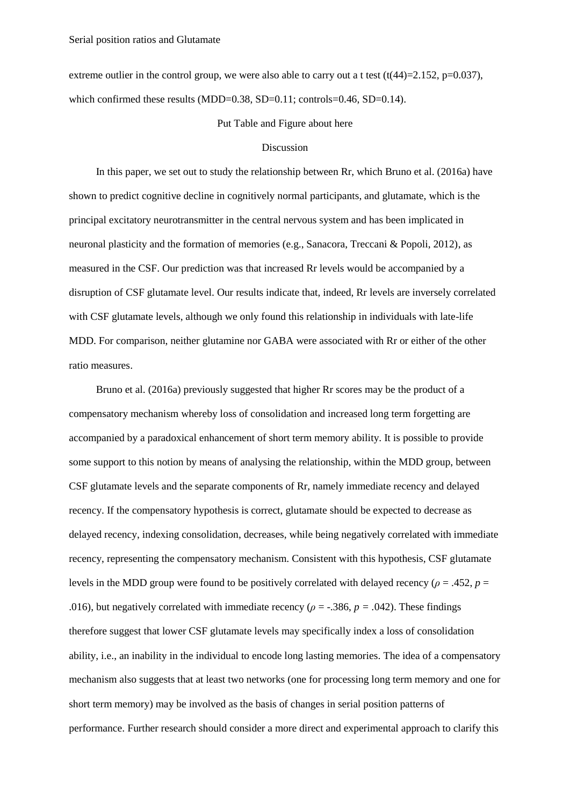extreme outlier in the control group, we were also able to carry out a t test  $(t(44)=2.152, p=0.037)$ , which confirmed these results (MDD=0.38, SD=0.11; controls=0.46, SD=0.14).

## Put Table and Figure about here

### Discussion

In this paper, we set out to study the relationship between Rr, which Bruno et al. (2016a) have shown to predict cognitive decline in cognitively normal participants, and glutamate, which is the principal excitatory neurotransmitter in the central nervous system and has been implicated in neuronal plasticity and the formation of memories (e.g., Sanacora, Treccani & Popoli, 2012), as measured in the CSF. Our prediction was that increased Rr levels would be accompanied by a disruption of CSF glutamate level. Our results indicate that, indeed, Rr levels are inversely correlated with CSF glutamate levels, although we only found this relationship in individuals with late-life MDD. For comparison, neither glutamine nor GABA were associated with Rr or either of the other ratio measures.

Bruno et al. (2016a) previously suggested that higher Rr scores may be the product of a compensatory mechanism whereby loss of consolidation and increased long term forgetting are accompanied by a paradoxical enhancement of short term memory ability. It is possible to provide some support to this notion by means of analysing the relationship, within the MDD group, between CSF glutamate levels and the separate components of Rr, namely immediate recency and delayed recency. If the compensatory hypothesis is correct, glutamate should be expected to decrease as delayed recency, indexing consolidation, decreases, while being negatively correlated with immediate recency, representing the compensatory mechanism. Consistent with this hypothesis, CSF glutamate levels in the MDD group were found to be positively correlated with delayed recency (*ρ* = .452, *p* = .016), but negatively correlated with immediate recency ( $\rho = -0.386$ ,  $p = 0.042$ ). These findings therefore suggest that lower CSF glutamate levels may specifically index a loss of consolidation ability, i.e., an inability in the individual to encode long lasting memories. The idea of a compensatory mechanism also suggests that at least two networks (one for processing long term memory and one for short term memory) may be involved as the basis of changes in serial position patterns of performance. Further research should consider a more direct and experimental approach to clarify this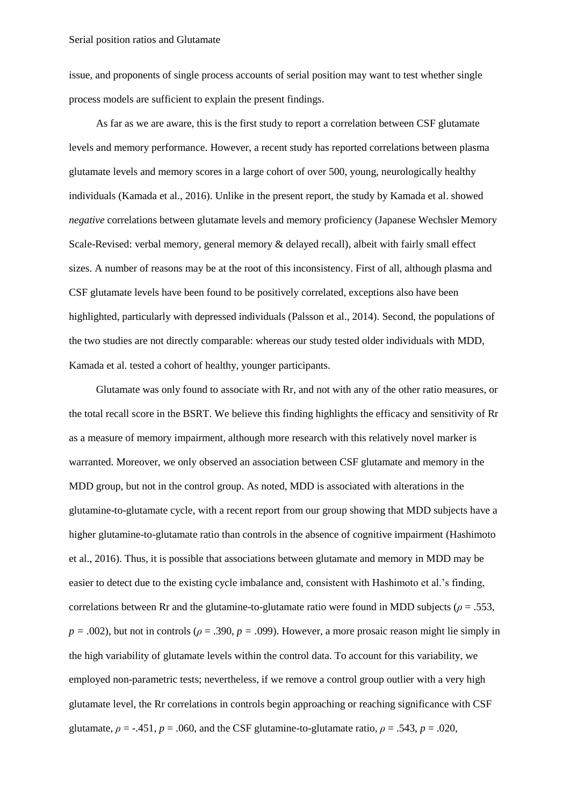issue, and proponents of single process accounts of serial position may want to test whether single process models are sufficient to explain the present findings.

As far as we are aware, this is the first study to report a correlation between CSF glutamate levels and memory performance. However, a recent study has reported correlations between plasma glutamate levels and memory scores in a large cohort of over 500, young, neurologically healthy individuals (Kamada et al., 2016). Unlike in the present report, the study by Kamada et al. showed *negative* correlations between glutamate levels and memory proficiency (Japanese Wechsler Memory Scale-Revised: verbal memory, general memory & delayed recall), albeit with fairly small effect sizes. A number of reasons may be at the root of this inconsistency. First of all, although plasma and CSF glutamate levels have been found to be positively correlated, exceptions also have been highlighted, particularly with depressed individuals (Palsson et al., 2014). Second, the populations of the two studies are not directly comparable: whereas our study tested older individuals with MDD, Kamada et al. tested a cohort of healthy, younger participants.

Glutamate was only found to associate with Rr, and not with any of the other ratio measures, or the total recall score in the BSRT. We believe this finding highlights the efficacy and sensitivity of Rr as a measure of memory impairment, although more research with this relatively novel marker is warranted. Moreover, we only observed an association between CSF glutamate and memory in the MDD group, but not in the control group. As noted, MDD is associated with alterations in the glutamine-to-glutamate cycle, with a recent report from our group showing that MDD subjects have a higher glutamine-to-glutamate ratio than controls in the absence of cognitive impairment (Hashimoto et al., 2016). Thus, it is possible that associations between glutamate and memory in MDD may be easier to detect due to the existing cycle imbalance and, consistent with Hashimoto et al.'s finding, correlations between Rr and the glutamine-to-glutamate ratio were found in MDD subjects ( $\rho = .553$ ,  $p = .002$ ), but not in controls ( $\rho = .390$ ,  $p = .099$ ). However, a more prosaic reason might lie simply in the high variability of glutamate levels within the control data. To account for this variability, we employed non-parametric tests; nevertheless, if we remove a control group outlier with a very high glutamate level, the Rr correlations in controls begin approaching or reaching significance with CSF glutamate,  $\rho = -0.451$ ,  $p = 0.060$ , and the CSF glutamine-to-glutamate ratio,  $\rho = 0.543$ ,  $p = 0.020$ ,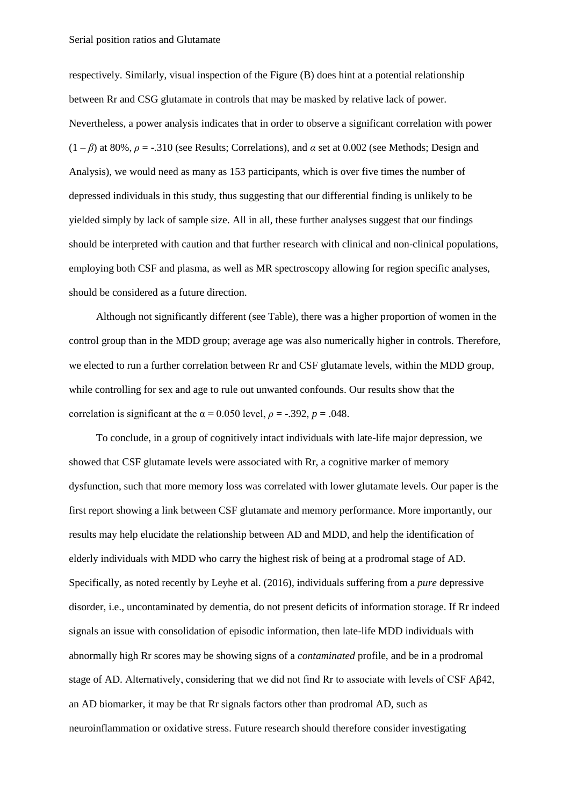respectively. Similarly, visual inspection of the Figure (B) does hint at a potential relationship between Rr and CSG glutamate in controls that may be masked by relative lack of power. Nevertheless, a power analysis indicates that in order to observe a significant correlation with power  $(1 - \beta)$  at 80%,  $\rho = -0.310$  (see Results; Correlations), and  $\alpha$  set at 0.002 (see Methods; Design and Analysis), we would need as many as 153 participants, which is over five times the number of depressed individuals in this study, thus suggesting that our differential finding is unlikely to be yielded simply by lack of sample size. All in all, these further analyses suggest that our findings should be interpreted with caution and that further research with clinical and non-clinical populations, employing both CSF and plasma, as well as MR spectroscopy allowing for region specific analyses, should be considered as a future direction.

Although not significantly different (see Table), there was a higher proportion of women in the control group than in the MDD group; average age was also numerically higher in controls. Therefore, we elected to run a further correlation between Rr and CSF glutamate levels, within the MDD group, while controlling for sex and age to rule out unwanted confounds. Our results show that the correlation is significant at the  $\alpha$  = 0.050 level,  $\rho$  = -.392,  $p$  = .048.

To conclude, in a group of cognitively intact individuals with late-life major depression, we showed that CSF glutamate levels were associated with Rr, a cognitive marker of memory dysfunction, such that more memory loss was correlated with lower glutamate levels. Our paper is the first report showing a link between CSF glutamate and memory performance. More importantly, our results may help elucidate the relationship between AD and MDD, and help the identification of elderly individuals with MDD who carry the highest risk of being at a prodromal stage of AD. Specifically, as noted recently by Leyhe et al. (2016), individuals suffering from a *pure* depressive disorder, i.e., uncontaminated by dementia, do not present deficits of information storage. If Rr indeed signals an issue with consolidation of episodic information, then late-life MDD individuals with abnormally high Rr scores may be showing signs of a *contaminated* profile, and be in a prodromal stage of AD. Alternatively, considering that we did not find Rr to associate with levels of CSF Aβ42, an AD biomarker, it may be that Rr signals factors other than prodromal AD, such as neuroinflammation or oxidative stress. Future research should therefore consider investigating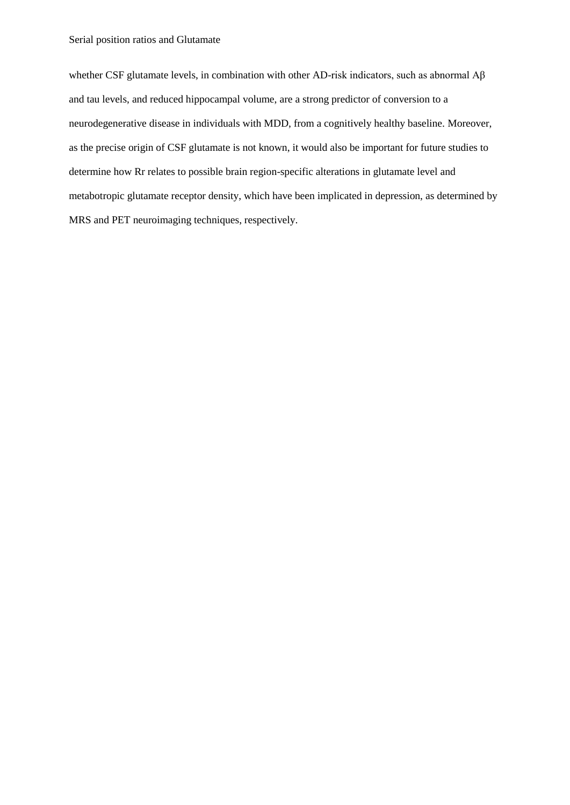whether CSF glutamate levels, in combination with other AD-risk indicators, such as abnormal Aβ and tau levels, and reduced hippocampal volume, are a strong predictor of conversion to a neurodegenerative disease in individuals with MDD, from a cognitively healthy baseline. Moreover, as the precise origin of CSF glutamate is not known, it would also be important for future studies to determine how Rr relates to possible brain region-specific alterations in glutamate level and metabotropic glutamate receptor density, which have been implicated in depression, as determined by MRS and PET neuroimaging techniques, respectively.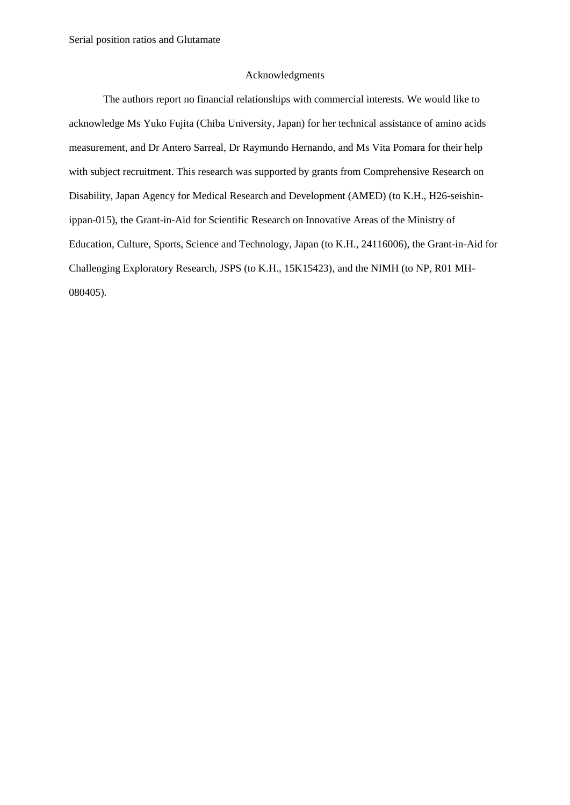## Acknowledgments

The authors report no financial relationships with commercial interests. We would like to acknowledge Ms Yuko Fujita (Chiba University, Japan) for her technical assistance of amino acids measurement, and Dr Antero Sarreal, Dr Raymundo Hernando, and Ms Vita Pomara for their help with subject recruitment. This research was supported by grants from Comprehensive Research on Disability, Japan Agency for Medical Research and Development (AMED) (to K.H., H26-seishinippan-015), the Grant-in-Aid for Scientific Research on Innovative Areas of the Ministry of Education, Culture, Sports, Science and Technology, Japan (to K.H., 24116006), the Grant-in-Aid for Challenging Exploratory Research, JSPS (to K.H., 15K15423), and the NIMH (to NP, R01 MH-080405).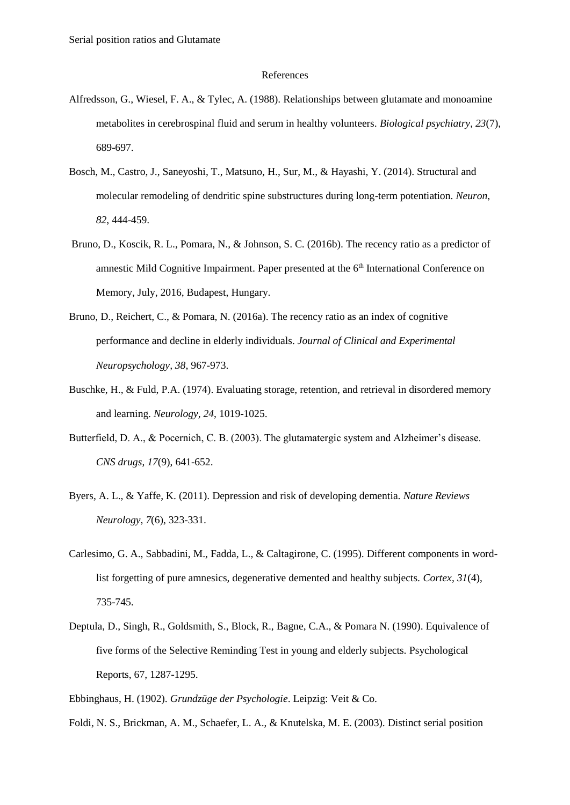#### References

- Alfredsson, G., Wiesel, F. A., & Tylec, A. (1988). Relationships between glutamate and monoamine metabolites in cerebrospinal fluid and serum in healthy volunteers. *Biological psychiatry*, *23*(7), 689-697.
- Bosch, M., Castro, J., Saneyoshi, T., Matsuno, H., Sur, M., & Hayashi, Y. (2014). Structural and molecular remodeling of dendritic spine substructures during long-term potentiation. *Neuron*, *82*, 444-459.
- Bruno, D., Koscik, R. L., Pomara, N., & Johnson, S. C. (2016b). The recency ratio as a predictor of amnestic Mild Cognitive Impairment. Paper presented at the 6<sup>th</sup> International Conference on Memory, July, 2016, Budapest, Hungary.
- Bruno, D., Reichert, C., & Pomara, N. (2016a). The recency ratio as an index of cognitive performance and decline in elderly individuals. *Journal of Clinical and Experimental Neuropsychology, 38*, 967-973.
- Buschke, H., & Fuld, P.A. (1974). Evaluating storage, retention, and retrieval in disordered memory and learning. *Neurology, 24*, 1019-1025.
- Butterfield, D. A., & Pocernich, C. B. (2003). The glutamatergic system and Alzheimer's disease. *CNS drugs*, *17*(9), 641-652.
- Byers, A. L., & Yaffe, K. (2011). Depression and risk of developing dementia. *Nature Reviews Neurology*, *7*(6), 323-331.
- Carlesimo, G. A., Sabbadini, M., Fadda, L., & Caltagirone, C. (1995). Different components in wordlist forgetting of pure amnesics, degenerative demented and healthy subjects. *Cortex*, *31*(4), 735-745.
- Deptula, D., Singh, R., Goldsmith, S., Block, R., Bagne, C.A., & Pomara N. (1990). Equivalence of five forms of the Selective Reminding Test in young and elderly subjects. Psychological Reports, 67, 1287-1295.
- Ebbinghaus, H. (1902). *Grundzüge der Psychologie*. Leipzig: Veit & Co.
- Foldi, N. S., Brickman, A. M., Schaefer, L. A., & Knutelska, M. E. (2003). Distinct serial position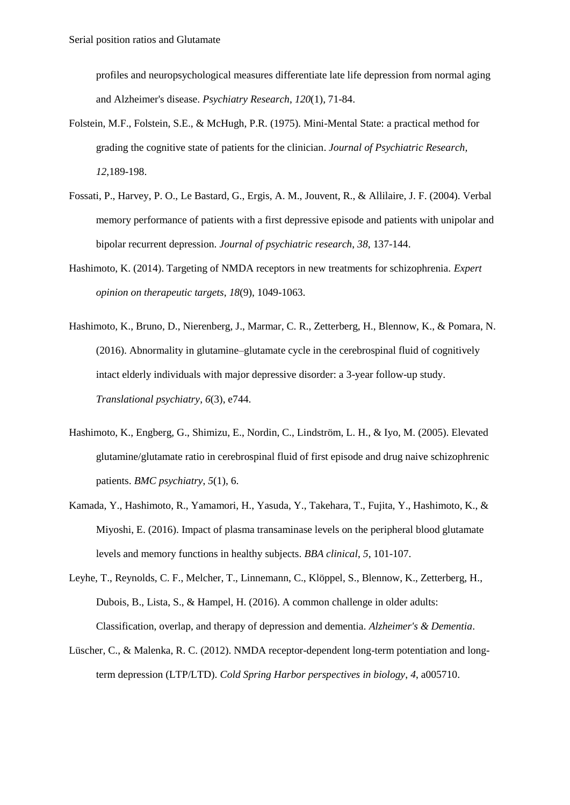profiles and neuropsychological measures differentiate late life depression from normal aging and Alzheimer's disease. *Psychiatry Research*, *120*(1), 71-84.

- Folstein, M.F., Folstein, S.E., & McHugh, P.R. (1975). Mini-Mental State: a practical method for grading the cognitive state of patients for the clinician. *Journal of Psychiatric Research, 12*,189-198.
- Fossati, P., Harvey, P. O., Le Bastard, G., Ergis, A. M., Jouvent, R., & Allilaire, J. F. (2004). Verbal memory performance of patients with a first depressive episode and patients with unipolar and bipolar recurrent depression. *Journal of psychiatric research*, *38*, 137-144.
- Hashimoto, K. (2014). Targeting of NMDA receptors in new treatments for schizophrenia. *Expert opinion on therapeutic targets*, *18*(9), 1049-1063.
- Hashimoto, K., Bruno, D., Nierenberg, J., Marmar, C. R., Zetterberg, H., Blennow, K., & Pomara, N. (2016). Abnormality in glutamine–glutamate cycle in the cerebrospinal fluid of cognitively intact elderly individuals with major depressive disorder: a 3-year follow-up study. *Translational psychiatry*, *6*(3), e744.
- Hashimoto, K., Engberg, G., Shimizu, E., Nordin, C., Lindström, L. H., & Iyo, M. (2005). Elevated glutamine/glutamate ratio in cerebrospinal fluid of first episode and drug naive schizophrenic patients. *BMC psychiatry*, *5*(1), 6.
- Kamada, Y., Hashimoto, R., Yamamori, H., Yasuda, Y., Takehara, T., Fujita, Y., Hashimoto, K., & Miyoshi, E. (2016). Impact of plasma transaminase levels on the peripheral blood glutamate levels and memory functions in healthy subjects. *BBA clinical*, *5*, 101-107.
- Leyhe, T., Reynolds, C. F., Melcher, T., Linnemann, C., Klöppel, S., Blennow, K., Zetterberg, H., Dubois, B., Lista, S., & Hampel, H. (2016). A common challenge in older adults: Classification, overlap, and therapy of depression and dementia. *Alzheimer's & Dementia*.
- Lüscher, C., & Malenka, R. C. (2012). NMDA receptor-dependent long-term potentiation and longterm depression (LTP/LTD). *Cold Spring Harbor perspectives in biology*, *4*, a005710.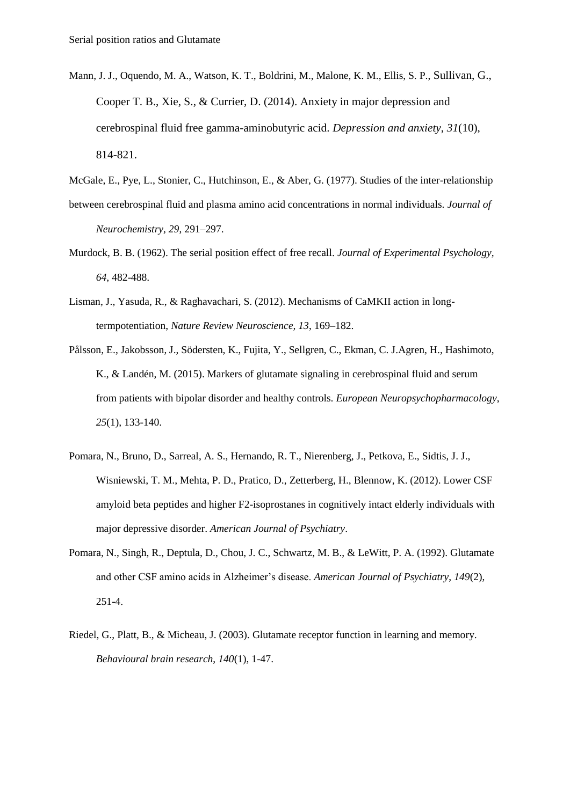- Mann, J. J., Oquendo, M. A., Watson, K. T., Boldrini, M., Malone, K. M., Ellis, S. P., Sullivan, G., Cooper T. B., Xie, S., & Currier, D. (2014). Anxiety in major depression and cerebrospinal fluid free gamma-aminobutyric acid. *Depression and anxiety*, *31*(10), 814-821.
- McGale, E., Pye, L., Stonier, C., Hutchinson, E., & Aber, G. (1977). Studies of the inter-relationship
- between cerebrospinal fluid and plasma amino acid concentrations in normal individuals. *Journal of Neurochemistry, 29*, 291–297.
- Murdock, B. B. (1962). The serial position effect of free recall. *Journal of Experimental Psychology, 64*, 482-488.
- Lisman, J., Yasuda, R., & Raghavachari, S. (2012). Mechanisms of CaMKII action in longtermpotentiation, *Nature Review Neuroscience, 13*, 169–182.
- Pålsson, E., Jakobsson, J., Södersten, K., Fujita, Y., Sellgren, C., Ekman, C. J.Agren, H., Hashimoto, K., & Landén, M. (2015). Markers of glutamate signaling in cerebrospinal fluid and serum from patients with bipolar disorder and healthy controls. *European Neuropsychopharmacology*, *25*(1), 133-140.
- Pomara, N., Bruno, D., Sarreal, A. S., Hernando, R. T., Nierenberg, J., Petkova, E., Sidtis, J. J., Wisniewski, T. M., Mehta, P. D., Pratico, D., Zetterberg, H., Blennow, K. (2012). Lower CSF amyloid beta peptides and higher F2-isoprostanes in cognitively intact elderly individuals with major depressive disorder. *American Journal of Psychiatry*.
- Pomara, N., Singh, R., Deptula, D., Chou, J. C., Schwartz, M. B., & LeWitt, P. A. (1992). Glutamate and other CSF amino acids in Alzheimer's disease. *American Journal of Psychiatry*, *149*(2), 251-4.
- Riedel, G., Platt, B., & Micheau, J. (2003). Glutamate receptor function in learning and memory. *Behavioural brain research*, *140*(1), 1-47.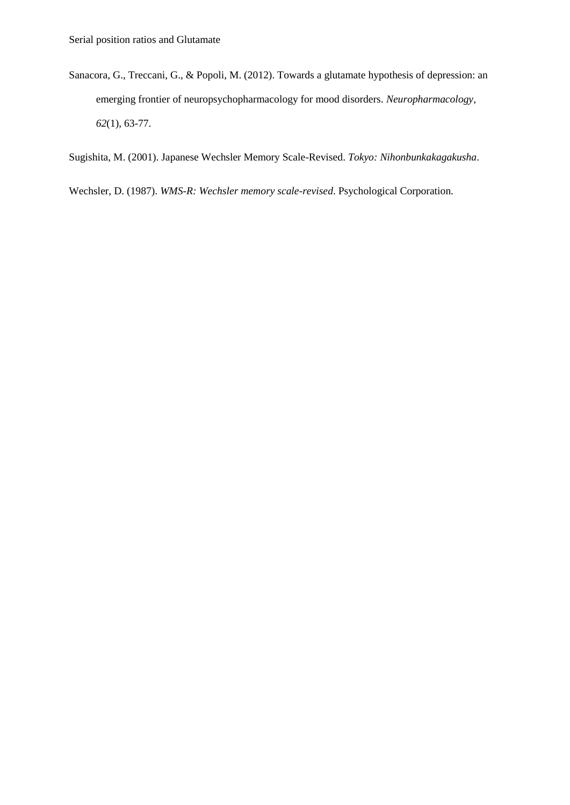Sanacora, G., Treccani, G., & Popoli, M. (2012). Towards a glutamate hypothesis of depression: an emerging frontier of neuropsychopharmacology for mood disorders. *Neuropharmacology*, *62*(1), 63-77.

Sugishita, M. (2001). Japanese Wechsler Memory Scale-Revised. *Tokyo: Nihonbunkakagakusha*.

Wechsler, D. (1987). *WMS-R: Wechsler memory scale-revised*. Psychological Corporation.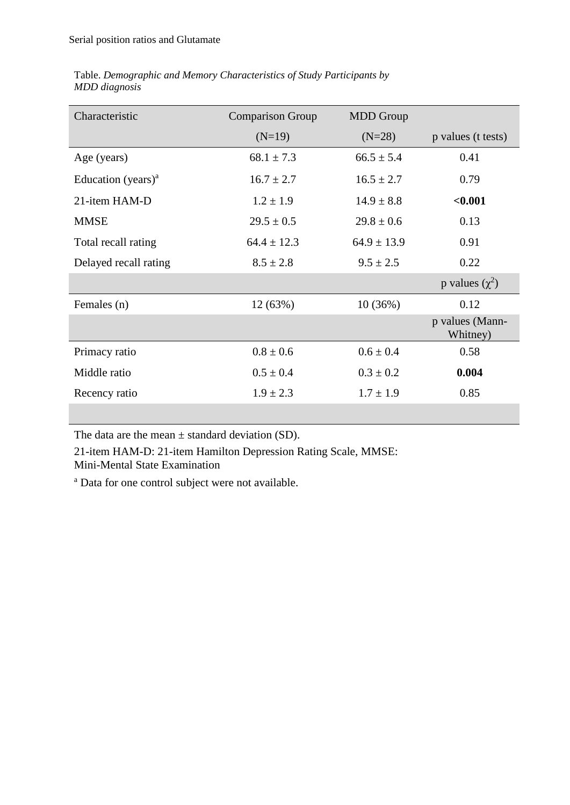|               | Table. Demographic and Memory Characteristics of Study Participants by |  |
|---------------|------------------------------------------------------------------------|--|
| MDD diagnosis |                                                                        |  |

| Characteristic                              | <b>Comparison Group</b> | <b>MDD</b> Group |                             |
|---------------------------------------------|-------------------------|------------------|-----------------------------|
|                                             | $(N=19)$                | $(N=28)$         | p values (t tests)          |
| Age (years)                                 | $68.1 \pm 7.3$          | $66.5 \pm 5.4$   | 0.41                        |
| Education (years) <sup><math>a</math></sup> | $16.7 \pm 2.7$          | $16.5 \pm 2.7$   | 0.79                        |
| 21-item HAM-D                               | $1.2 \pm 1.9$           | $14.9 \pm 8.8$   | < 0.001                     |
| <b>MMSE</b>                                 | $29.5 \pm 0.5$          | $29.8 \pm 0.6$   | 0.13                        |
| Total recall rating                         | $64.4 \pm 12.3$         | $64.9 \pm 13.9$  | 0.91                        |
| Delayed recall rating                       | $8.5 \pm 2.8$           | $9.5 \pm 2.5$    | 0.22                        |
|                                             |                         |                  | p values $(\chi^2)$         |
| Females (n)                                 | 12(63%)                 | 10(36%)          | 0.12                        |
|                                             |                         |                  | p values (Mann-<br>Whitney) |
| Primacy ratio                               | $0.8 \pm 0.6$           | $0.6 \pm 0.4$    | 0.58                        |
| Middle ratio                                | $0.5 \pm 0.4$           | $0.3 \pm 0.2$    | 0.004                       |
| Recency ratio                               | $1.9 \pm 2.3$           | $1.7 \pm 1.9$    | 0.85                        |
|                                             |                         |                  |                             |

The data are the mean  $\pm$  standard deviation (SD).

21-item HAM-D: 21-item Hamilton Depression Rating Scale, MMSE: Mini-Mental State Examination

<sup>a</sup> Data for one control subject were not available.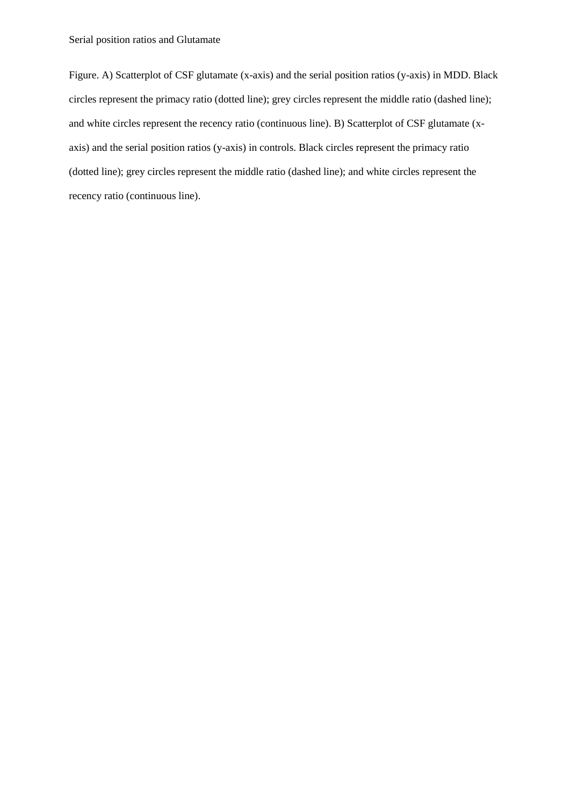Figure. A) Scatterplot of CSF glutamate (x-axis) and the serial position ratios (y-axis) in MDD. Black circles represent the primacy ratio (dotted line); grey circles represent the middle ratio (dashed line); and white circles represent the recency ratio (continuous line). B) Scatterplot of CSF glutamate (xaxis) and the serial position ratios (y-axis) in controls. Black circles represent the primacy ratio (dotted line); grey circles represent the middle ratio (dashed line); and white circles represent the recency ratio (continuous line).